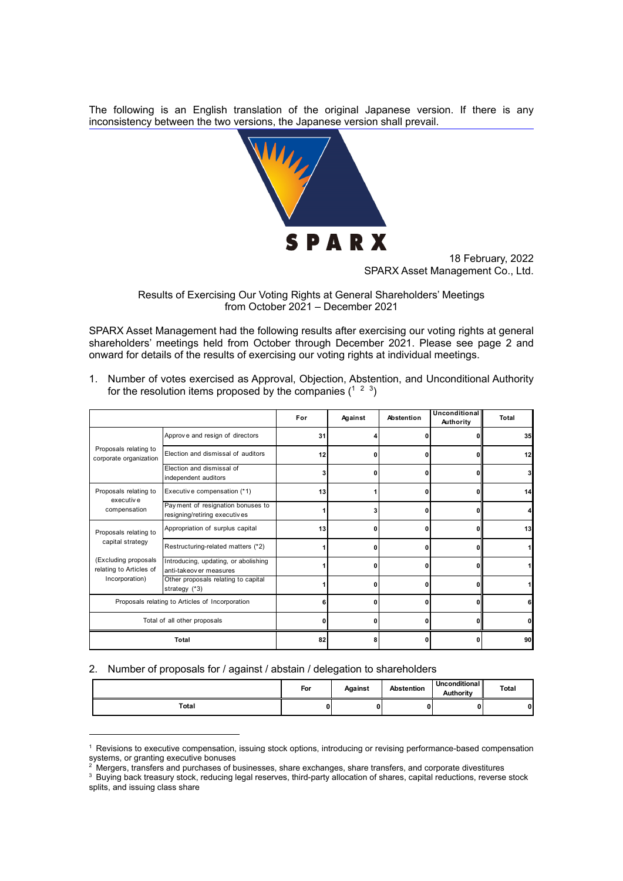[The following is an English translation of the original Japanese version. If there is any](https://www.sparx.co.jp/mutual/pdf/vote_20220218.pdf) inconsistency between the two versions, the Japanese version shall prevail.



18 February, 2022 SPARX Asset Management Co., Ltd.

Results of Exercising Our Voting Rights at General Shareholders' Meetings from October 2021 – December 2021

SPARX Asset Management had the following results after exercising our voting rights at general shareholders' meetings held from October through December 2021. Please see page 2 and onward for details of the results of exercising our voting rights at individual meetings.

1. Number of votes exercised as Approval, Objection, Abstention, and Unconditional Authority for the resolution items proposed by the companies  $(1, 2, 3)$ 

|                                                                   |                                                                    | For | Against | Abstention | Unconditional<br>Authority | Total |
|-------------------------------------------------------------------|--------------------------------------------------------------------|-----|---------|------------|----------------------------|-------|
| Proposals relating to<br>corporate organization                   | Approve and resign of directors                                    | 31  |         | c          |                            | 35    |
|                                                                   | Election and dismissal of auditors                                 | 12  | 0       |            | ΩI                         | 12    |
|                                                                   | Election and dismissal of<br>independent auditors                  | 3   | O       | ſ          | Οl                         |       |
| Proposals relating to<br>executive                                | Executive compensation (*1)                                        | 13  |         | ſ          | o١                         | 14    |
| compensation                                                      | Payment of resignation bonuses to<br>resigning/retiring executives |     | 3       | ſ          | ΩI                         |       |
| Proposals relating to                                             | Appropriation of surplus capital                                   | 13  | 0       | ſ          |                            | 13    |
| capital strategy                                                  | Restructuring-related matters (*2)                                 |     | O       |            |                            |       |
| (Excluding proposals<br>relating to Articles of<br>Incorporation) | Introducing, updating, or abolishing<br>anti-takeov er measures    |     | O       | n          | ΩI                         |       |
|                                                                   | Other proposals relating to capital<br>strategy (*3)               |     | O       | ſ          | n١                         |       |
| Proposals relating to Articles of Incorporation                   |                                                                    | ĥ   | 0       |            | ΩI                         |       |
| Total of all other proposals                                      |                                                                    | O   | ſ       | ΛI         |                            |       |
| Total                                                             |                                                                    | 82  | 8       | O          |                            | 90    |

## 2. Number of proposals for / against / abstain / delegation to shareholders

-

|              | For | Against | <b>Abstention</b> | <b>Unconditional</b><br>Authority | Total |
|--------------|-----|---------|-------------------|-----------------------------------|-------|
| <b>Total</b> | o   | 0       |                   | 0                                 | 0     |

<sup>1</sup> Revisions to executive compensation, issuing stock options, introducing or revising performance-based compensation systems, or granting executive bonuses<br><sup>2</sup> Mergers, transfers and purchases of businesses, share exchanges, share transfers, and corporate divestitures<br><sup>3</sup> Buving back treasury stock, reducing legal reserves, third-party a

Buying back treasury stock, reducing legal reserves, third-party allocation of shares, capital reductions, reverse stock splits, and issuing class share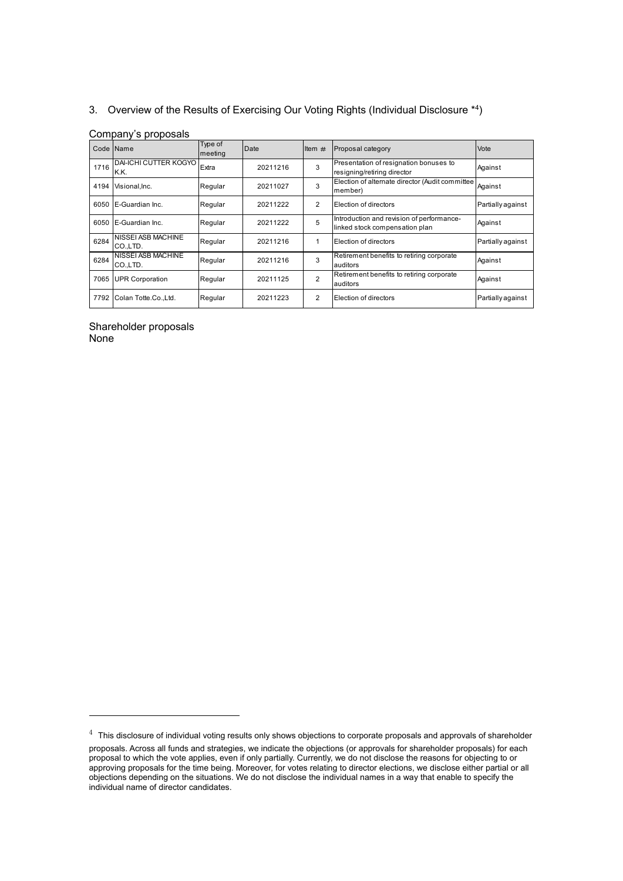## 3. Overview of the Results of Exercising Our Voting Rights (Individual Disclosure \*4)

|      | Code Name                            | Type of<br>meeting | Date     | Item $#$       | Proposal category                                                           | Vote              |
|------|--------------------------------------|--------------------|----------|----------------|-----------------------------------------------------------------------------|-------------------|
| 1716 | <b>DAI-ICHI CUTTER KOGYO</b><br>K.K. | Extra              | 20211216 | 3              | Presentation of resignation bonuses to<br>resigning/retiring director       | Against           |
| 4194 | Visional.Inc.                        | Regular            | 20211027 | 3              | Election of alternate director (Audit committee<br>member)                  | Against           |
| 6050 | E-Guardian Inc.                      | Regular            | 20211222 | $\overline{2}$ | Election of directors                                                       | Partially against |
| 6050 | E-Guardian Inc.                      | Regular            | 20211222 | 5              | Introduction and revision of performance-<br>linked stock compensation plan | Against           |
| 6284 | NISSEI ASB MACHINE<br>CO.LTD.        | Regular            | 20211216 | 1              | Election of directors                                                       | Partially against |
| 6284 | NISSEI ASB MACHINE<br>CO.LTD.        | Regular            | 20211216 | 3              | Retirement benefits to retiring corporate<br>auditors                       | Against           |
| 7065 | <b>UPR Corporation</b>               | Regular            | 20211125 | $\overline{2}$ | Retirement benefits to retiring corporate<br>auditors                       | Against           |
| 7792 | Colan Totte.Co.,Ltd.                 | Regular            | 20211223 | $\overline{2}$ | Election of directors                                                       | Partially against |

## Company's proposals

Shareholder proposals None

-

 $4$  This disclosure of individual voting results only shows objections to corporate proposals and approvals of shareholder

proposals. Across all funds and strategies, we indicate the objections (or approvals for shareholder proposals) for each proposal to which the vote applies, even if only partially. Currently, we do not disclose the reasons for objecting to or approving proposals for the time being. Moreover, for votes relating to director elections, we disclose either partial or all objections depending on the situations. We do not disclose the individual names in a way that enable to specify the individual name of director candidates.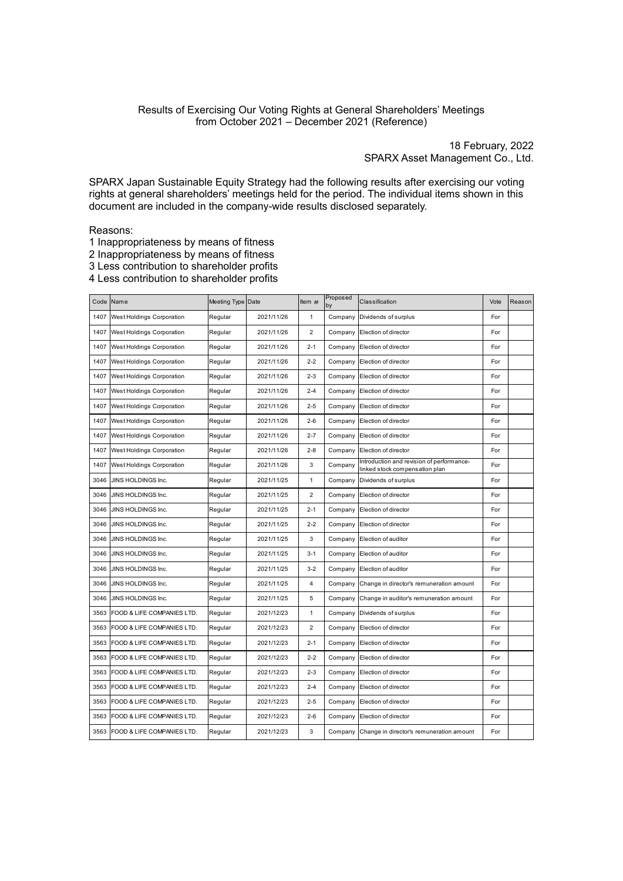## Results of Exercising Our Voting Rights at General Shareholders' Meetings from October 2021 – December 2021 (Reference)

18 February, 2022 SPARX Asset Management Co., Ltd.

SPARX Japan Sustainable Equity Strategy had the following results after exercising our voting rights at general shareholders' meetings held for the period. The individual items shown in this document are included in the company-wide results disclosed separately.

Reasons:

1 Inappropriateness by means of fitness

2 Inappropriateness by means of fitness

3 Less contribution to shareholder profits

4 Less contribution to shareholder profits

|      | Code Name                  | Meeting Type Date |            | Item $#$       | Proposed<br>by | Classification                                                              | Vote | Reason |
|------|----------------------------|-------------------|------------|----------------|----------------|-----------------------------------------------------------------------------|------|--------|
| 1407 | West Holdings Corporation  | Regular           | 2021/11/26 | 1              | Company        | Dividends of surplus                                                        | For  |        |
| 1407 | West Holdings Corporation  | Regular           | 2021/11/26 | $\overline{2}$ | Company        | Election of director                                                        | For  |        |
| 1407 | West Holdings Corporation  | Regular           | 2021/11/26 | $2 - 1$        | Company        | Election of director                                                        | For  |        |
| 1407 | West Holdings Corporation  | Regular           | 2021/11/26 | $2 - 2$        | Company        | Election of director                                                        | For  |        |
| 1407 | West Holdings Corporation  | Regular           | 2021/11/26 | $2 - 3$        | Company        | Election of director                                                        | For  |        |
| 1407 | West Holdings Corporation  | Regular           | 2021/11/26 | $2 - 4$        | Company        | Election of director                                                        | For  |        |
| 1407 | West Holdings Corporation  | Regular           | 2021/11/26 | $2 - 5$        | Company        | Election of director                                                        | For  |        |
| 1407 | West Holdings Corporation  | Regular           | 2021/11/26 | $2 - 6$        | Company        | Election of director                                                        | For  |        |
| 1407 | West Holdings Corporation  | Regular           | 2021/11/26 | $2 - 7$        | Company        | Election of director                                                        | For  |        |
| 1407 | West Holdings Corporation  | Regular           | 2021/11/26 | $2 - 8$        | Company        | Election of director                                                        | For  |        |
| 1407 | West Holdings Corporation  | Regular           | 2021/11/26 | 3              | Company        | Introduction and revision of performance-<br>linked stock compensation plan | For  |        |
| 3046 | JINS HOLDINGS Inc.         | Regular           | 2021/11/25 | $\mathbf{1}$   | Company        | Dividends of surplus                                                        | For  |        |
| 3046 | JINS HOLDINGS Inc.         | Regular           | 2021/11/25 | $\overline{2}$ | Company        | Election of director                                                        | For  |        |
| 3046 | JINS HOLDINGS Inc.         | Regular           | 2021/11/25 | $2 - 1$        | Company        | Election of director                                                        | For  |        |
| 3046 | JINS HOLDINGS Inc.         | Regular           | 2021/11/25 | $2 - 2$        | Company        | Election of director                                                        | For  |        |
| 3046 | JINS HOLDINGS Inc.         | Regular           | 2021/11/25 | 3              | Company        | Election of auditor                                                         | For  |        |
| 3046 | JINS HOLDINGS Inc.         | Regular           | 2021/11/25 | $3 - 1$        | Company        | Election of auditor                                                         | For  |        |
| 3046 | JINS HOLDINGS Inc.         | Regular           | 2021/11/25 | $3-2$          | Company        | Election of auditor                                                         | For  |        |
| 3046 | JINS HOLDINGS Inc.         | Regular           | 2021/11/25 | 4              | Company        | Change in director's remuneration amount                                    | For  |        |
| 3046 | JINS HOLDINGS Inc.         | Regular           | 2021/11/25 | 5              | Company        | Change in auditor's remuneration amount                                     | For  |        |
| 3563 | FOOD & LIFE COMPANIES LTD. | Regular           | 2021/12/23 | $\mathbf{1}$   | Company        | Dividends of surplus                                                        | For  |        |
| 3563 | FOOD & LIFE COMPANIES LTD. | Regular           | 2021/12/23 | $\overline{2}$ | Company        | Election of director                                                        | For  |        |
| 3563 | FOOD & LIFE COMPANIES LTD. | Regular           | 2021/12/23 | $2 - 1$        | Company        | Election of director                                                        | For  |        |
| 3563 | FOOD & LIFE COMPANIES LTD. | Regular           | 2021/12/23 | $2 - 2$        | Company        | Election of director                                                        | For  |        |
| 3563 | FOOD & LIFE COMPANIES LTD. | Regular           | 2021/12/23 | $2 - 3$        | Company        | Election of director                                                        | For  |        |
| 3563 | FOOD & LIFE COMPANIES LTD. | Regular           | 2021/12/23 | $2 - 4$        | Company        | Election of director                                                        | For  |        |
| 3563 | FOOD & LIFE COMPANIES LTD. | Regular           | 2021/12/23 | $2 - 5$        | Company        | Election of director                                                        | For  |        |
| 3563 | FOOD & LIFE COMPANIES LTD. | Regular           | 2021/12/23 | $2 - 6$        | Company        | Election of director                                                        | For  |        |
| 3563 | FOOD & LIFE COMPANIES LTD. | Regular           | 2021/12/23 | 3              | Company        | Change in director's remuneration amount                                    | For  |        |